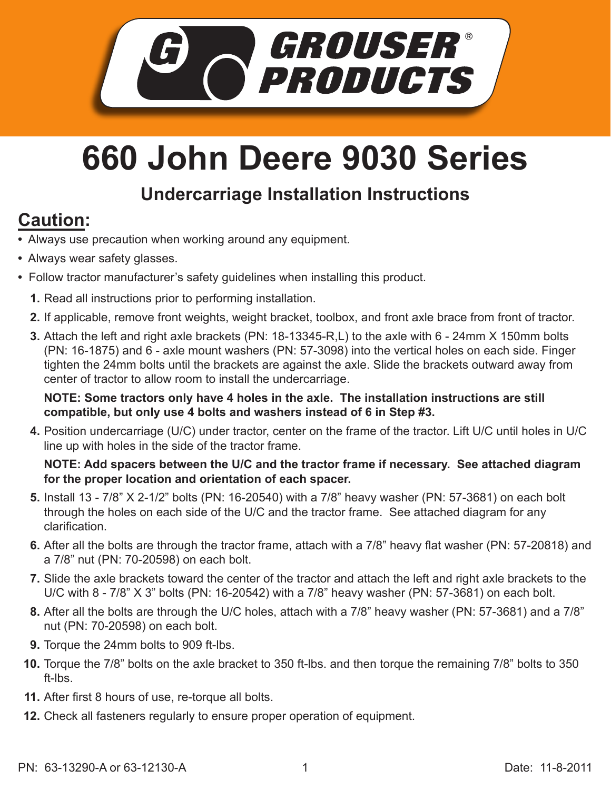

## **660 John Deere 9030 Series**

## **Undercarriage Installation Instructions**

## **Caution:**

- Always use precaution when working around any equipment.
- Always wear safety glasses.
- Follow tractor manufacturer's safety guidelines when installing this product.
	- **1.** Read all instructions prior to performing installation.
	- **2.** If applicable, remove front weights, weight bracket, toolbox, and front axle brace from front of tractor.
	- Attach the left and right axle brackets (PN: 18-13345-R,L) to the axle with 6 24mm X 150mm bolts **3.** (PN: 16-1875) and 6 - axle mount washers (PN: 57-3098) into the vertical holes on each side. Finger tighten the 24mm bolts until the brackets are against the axle. Slide the brackets outward away from center of tractor to allow room to install the undercarriage.

**NOTE: Some tractors only have 4 holes in the axle. The installation instructions are still compatible, but only use 4 bolts and washers instead of 6 in Step #3.**

Position undercarriage (U/C) under tractor, center on the frame of the tractor. Lift U/C until holes in U/C **4.** line up with holes in the side of the tractor frame.

## **NOTE: Add spacers between the U/C and the tractor frame if necessary. See attached diagram for the proper location and orientation of each spacer.**

- **5.** Install 13 7/8" X 2-1/2" bolts (PN: 16-20540) with a 7/8" heavy washer (PN: 57-3681) on each bolt through the holes on each side of the U/C and the tractor frame. See attached diagram for any clarification.
- **6.** After all the bolts are through the tractor frame, attach with a 7/8" heavy flat washer (PN: 57-20818) and a 7/8" nut (PN: 70-20598) on each bolt.
- Slide the axle brackets toward the center of the tractor and attach the left and right axle brackets to the **7.** U/C with 8 - 7/8" X 3" bolts (PN: 16-20542) with a 7/8" heavy washer (PN: 57-3681) on each bolt.
- After all the bolts are through the U/C holes, attach with a 7/8" heavy washer (PN: 57-3681) and a 7/8" **8.** nut (PN: 70-20598) on each bolt.
- **9.** Torque the 24mm bolts to 909 ft-lbs.
- Torque the 7/8" bolts on the axle bracket to 350 ft-lbs. and then torque the remaining 7/8" bolts to 350 **10.** ft-lbs.
- After first 8 hours of use, re-torque all bolts. **11.**
- **12.** Check all fasteners regularly to ensure proper operation of equipment.